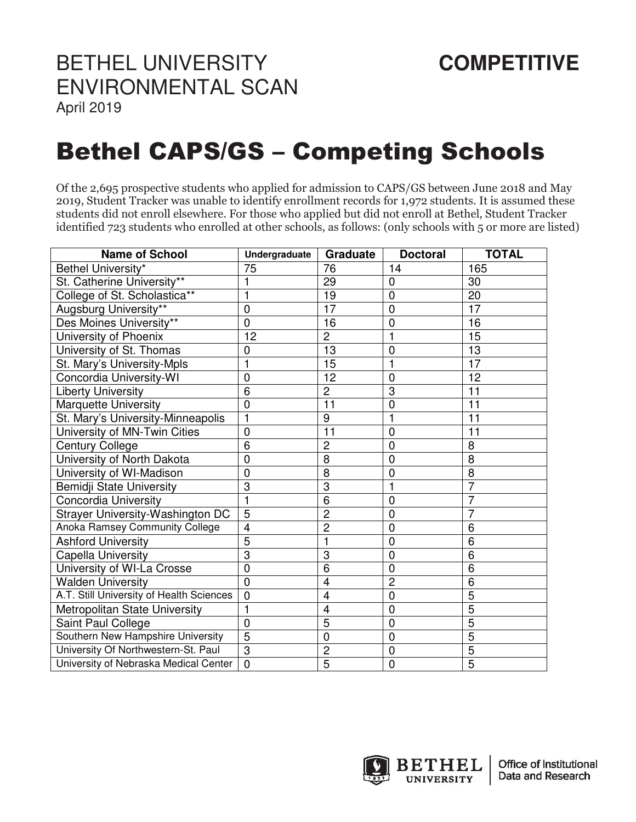## BETHEL UNIVERSITY **COMPETITIVE** ENVIRONMENTAL SCAN

April 2019

## Bethel CAPS/GS – Competing Schools

Of the 2,695 prospective students who applied for admission to CAPS/GS between June 2018 and May 2019, Student Tracker was unable to identify enrollment records for 1,972 students. It is assumed these students did not enroll elsewhere. For those who applied but did not enroll at Bethel, Student Tracker identified 723 students who enrolled at other schools, as follows: (only schools with 5 or more are listed)

| <b>Name of School</b>                    | Undergraduate  | Graduate       | <b>Doctoral</b> | <b>TOTAL</b>   |
|------------------------------------------|----------------|----------------|-----------------|----------------|
| Bethel University*                       | 75             | 76             | 14              | 165            |
| St. Catherine University**               | 1              | 29             | 0               | 30             |
| College of St. Scholastica**             | 1              | 19             | $\overline{0}$  | 20             |
| Augsburg University**                    | $\overline{0}$ | 17             | $\overline{0}$  | 17             |
| Des Moines University**                  | 0              | 16             | 0               | 16             |
| University of Phoenix                    | 12             | $\overline{2}$ | 1               | 15             |
| University of St. Thomas                 | $\mathbf 0$    | 13             | $\overline{0}$  | 13             |
| St. Mary's University-Mpls               | 1              | 15             |                 | 17             |
| Concordia University-WI                  | $\overline{0}$ | 12             | $\overline{0}$  | 12             |
| <b>Liberty University</b>                | 6              | $\overline{c}$ | 3               | 11             |
| <b>Marquette University</b>              | 0              | 11             | 0               | 11             |
| St. Mary's University-Minneapolis        |                | 9              |                 | 11             |
| University of MN-Twin Cities             | $\overline{0}$ | 11             | 0               | 11             |
| <b>Century College</b>                   | 6              | $\overline{c}$ | $\overline{0}$  | 8              |
| University of North Dakota               | $\overline{0}$ | 8              | 0               | 8              |
| University of WI-Madison                 | 0              | 8              | 0               | 8              |
| Bemidji State University                 | 3              | 3              |                 | 7              |
| <b>Concordia University</b>              |                | 6              | 0               | 7              |
| Strayer University-Washington DC         | $\overline{5}$ | $\overline{2}$ | $\overline{0}$  | $\overline{7}$ |
| Anoka Ramsey Community College           | $\overline{4}$ | $\overline{2}$ | $\overline{0}$  | 6              |
| <b>Ashford University</b>                | 5              | 1              | $\overline{0}$  | 6              |
| Capella University                       | 3              | 3              | 0               | 6              |
| University of WI-La Crosse               | $\overline{0}$ | 6              | 0               | 6              |
| <b>Walden University</b>                 | $\overline{0}$ | $\overline{4}$ | $\overline{2}$  | 6              |
| A.T. Still University of Health Sciences | $\mathbf 0$    | $\overline{4}$ | $\overline{0}$  | 5              |
| Metropolitan State University            | 1              | 4              | $\overline{0}$  | $\overline{5}$ |
| Saint Paul College                       | $\overline{0}$ | 5              | $\overline{0}$  | 5              |
| Southern New Hampshire University        | $\overline{5}$ | $\mathbf 0$    | 0               | 5              |
| University Of Northwestern-St. Paul      | 3              | $\overline{c}$ | 0               | 5              |
| University of Nebraska Medical Center    | $\overline{0}$ | $\overline{5}$ | $\mathbf 0$     | $\overline{5}$ |